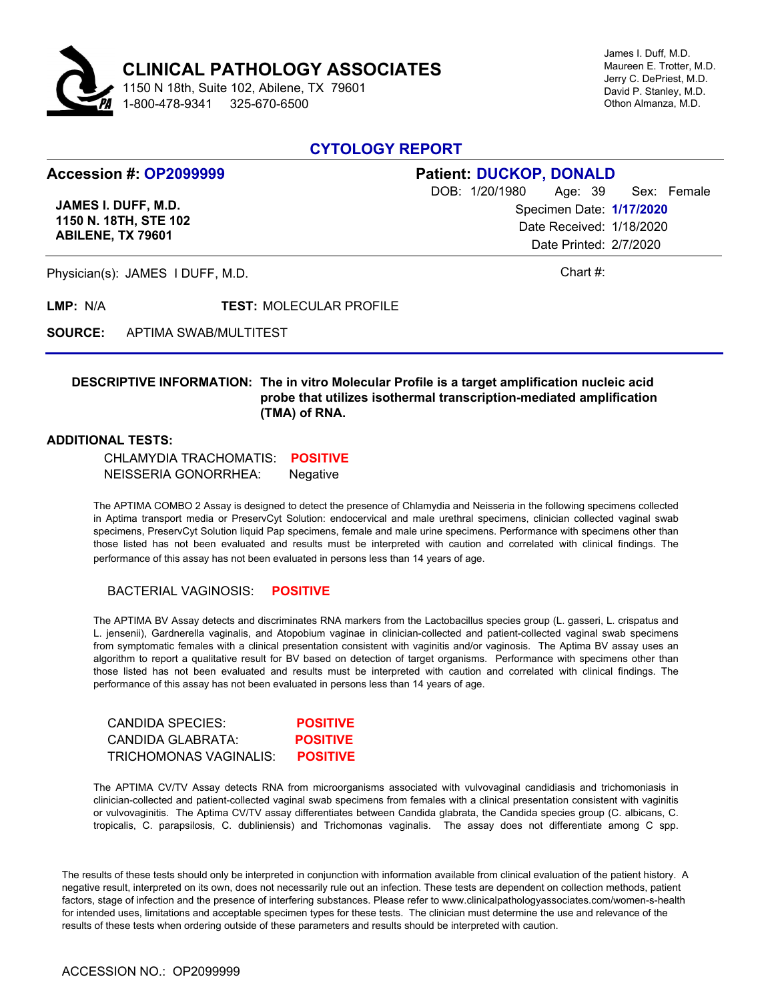

James I. Duff, M.D. Maureen E. Trotter, M.D. Jerry C. DePriest, M.D. David P. Stanley, M.D. Othon Almanza, M.D.

## **CYTOLOGY REPORT**

# **Accession #: OP2099999**

**JAMES I. DUFF, M.D. 1150 N. 18TH, STE 102 ABILENE, TX 79601**

### **Patient: DUCKOP, DONALD** DOB: 1/20/1980 Age: 39 Specimen Date: **1/17/2020** Date Received: 1/18/2020 Date Printed: 2/7/2020 Sex: Female

Physician(s): JAMES I DUFF, M.D. Chart #:

**LMP:** N/A **TEST:** MOLECULAR PROFILE

**SOURCE:** APTIMA SWAB/MULTITEST

### **DESCRIPTIVE INFORMATION: The in vitro Molecular Profile is a target amplification nucleic acid probe that utilizes isothermal transcription-mediated amplification (TMA) of RNA.**

#### **ADDITIONAL TESTS:**

 CHLAMYDIA TRACHOMATIS: **POSITIVE** NEISSERIA GONORRHEA: Negative

The APTIMA COMBO 2 Assay is designed to detect the presence of Chlamydia and Neisseria in the following specimens collected in Aptima transport media or PreservCyt Solution: endocervical and male urethral specimens, clinician collected vaginal swab specimens, PreservCyt Solution liquid Pap specimens, female and male urine specimens. Performance with specimens other than those listed has not been evaluated and results must be interpreted with caution and correlated with clinical findings. The performance of this assay has not been evaluated in persons less than 14 years of age.

#### BACTERIAL VAGINOSIS: **POSITIVE**

The APTIMA BV Assay detects and discriminates RNA markers from the Lactobacillus species group (L. gasseri, L. crispatus and L. jensenii), Gardnerella vaginalis, and Atopobium vaginae in clinician-collected and patient-collected vaginal swab specimens from symptomatic females with a clinical presentation consistent with vaginitis and/or vaginosis. The Aptima BV assay uses an algorithm to report a qualitative result for BV based on detection of target organisms. Performance with specimens other than those listed has not been evaluated and results must be interpreted with caution and correlated with clinical findings. The performance of this assay has not been evaluated in persons less than 14 years of age.

| CANDIDA SPECIES:       | <b>POSITIVE</b> |
|------------------------|-----------------|
| CANDIDA GLABRATA:      | <b>POSITIVE</b> |
| TRICHOMONAS VAGINALIS: | <b>POSITIVE</b> |

The APTIMA CV/TV Assay detects RNA from microorganisms associated with vulvovaginal candidiasis and trichomoniasis in clinician-collected and patient-collected vaginal swab specimens from females with a clinical presentation consistent with vaginitis or vulvovaginitis. The Aptima CV/TV assay differentiates between Candida glabrata, the Candida species group (C. albicans, C. tropicalis, C. parapsilosis, C. dubliniensis) and Trichomonas vaginalis. The assay does not differentiate among C spp.

The results of these tests should only be interpreted in conjunction with information available from clinical evaluation of the patient history. A negative result, interpreted on its own, does not necessarily rule out an infection. These tests are dependent on collection methods, patient factors, stage of infection and the presence of interfering substances. Please refer to www.clinicalpathologyassociates.com/women-s-health for intended uses, limitations and acceptable specimen types for these tests. The clinician must determine the use and relevance of the results of these tests when ordering outside of these parameters and results should be interpreted with caution.